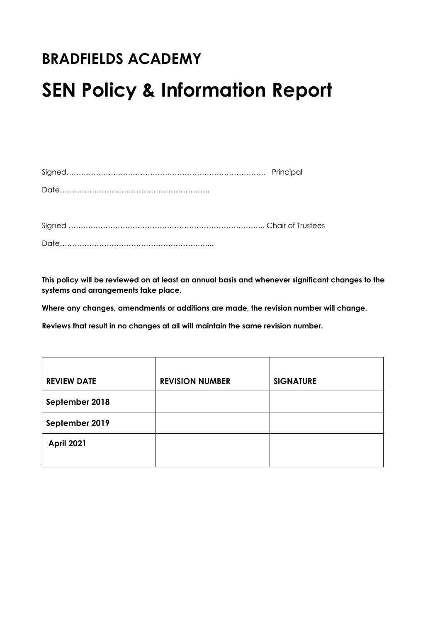# **BRADFIELDS ACADEMY**

# **SEN Policy & Information Report**

**This policy will be reviewed on at least an annual basis and whenever significant changes to the systems and arrangements take place.**

**Where any changes, amendments or additions are made, the revision number will change.**

**Reviews that result in no changes at all will maintain the same revision number.**

| <b>REVIEW DATE</b> | <b>REVISION NUMBER</b> | <b>SIGNATURE</b> |
|--------------------|------------------------|------------------|
| September 2018     |                        |                  |
| September 2019     |                        |                  |
| <b>April 2021</b>  |                        |                  |
|                    |                        |                  |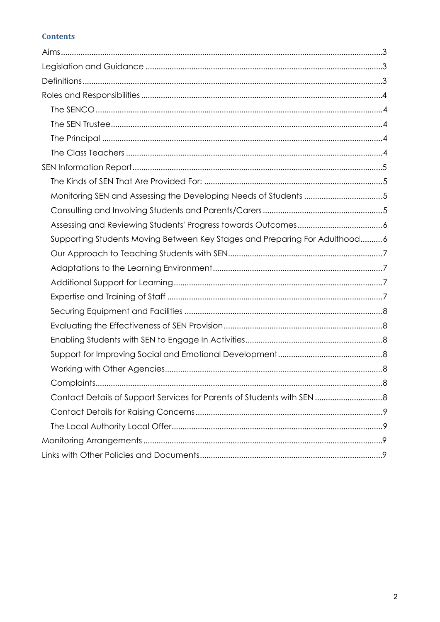# **Contents**

| Monitoring SEN and Assessing the Developing Needs of Students 5            |  |
|----------------------------------------------------------------------------|--|
|                                                                            |  |
|                                                                            |  |
| Supporting Students Moving Between Key Stages and Preparing For Adulthood6 |  |
|                                                                            |  |
|                                                                            |  |
|                                                                            |  |
|                                                                            |  |
|                                                                            |  |
|                                                                            |  |
|                                                                            |  |
|                                                                            |  |
|                                                                            |  |
|                                                                            |  |
| Contact Details of Support Services for Parents of Students with SEN  8    |  |
|                                                                            |  |
|                                                                            |  |
|                                                                            |  |
|                                                                            |  |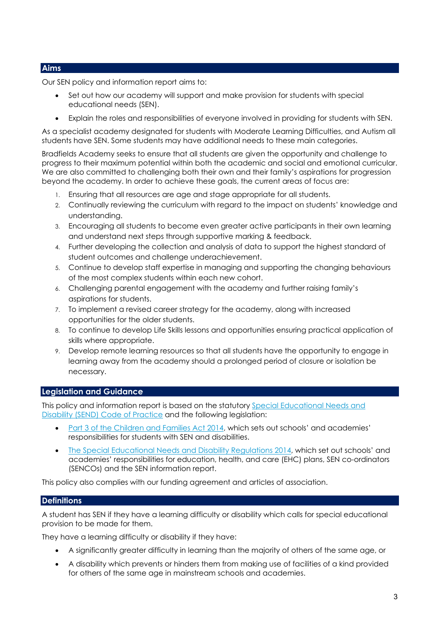# <span id="page-2-0"></span>**Aims**

Our SEN policy and information report aims to:

- Set out how our academy will support and make provision for students with special educational needs (SEN).
- Explain the roles and responsibilities of everyone involved in providing for students with SEN.

As a specialist academy designated for students with Moderate Learning Difficulties, and Autism all students have SEN. Some students may have additional needs to these main categories.

Bradfields Academy seeks to ensure that all students are given the opportunity and challenge to progress to their maximum potential within both the academic and social and emotional curricular. We are also committed to challenging both their own and their family's aspirations for progression beyond the academy. In order to achieve these goals, the current areas of focus are:

- 1. Ensuring that all resources are age and stage appropriate for all students.
- 2. Continually reviewing the curriculum with regard to the impact on students' knowledge and understanding.
- 3. Encouraging all students to become even greater active participants in their own learning and understand next steps through supportive marking & feedback.
- 4. Further developing the collection and analysis of data to support the highest standard of student outcomes and challenge underachievement.
- 5. Continue to develop staff expertise in managing and supporting the changing behaviours of the most complex students within each new cohort.
- 6. Challenging parental engagement with the academy and further raising family's aspirations for students.
- 7. To implement a revised career strategy for the academy, along with increased opportunities for the older students.
- 8. To continue to develop Life Skills lessons and opportunities ensuring practical application of skills where appropriate.
- 9. Develop remote learning resources so that all students have the opportunity to engage in learning away from the academy should a prolonged period of closure or isolation be necessary.

# <span id="page-2-1"></span>**Legislation and Guidance**

This policy and information report is based on the statutory [Special Educational Needs and](https://www.gov.uk/government/uploads/system/uploads/attachment_data/file/398815/SEND_Code_of_Practice_January_2015.pdf)  [Disability \(SEND\) Code of Practice](https://www.gov.uk/government/uploads/system/uploads/attachment_data/file/398815/SEND_Code_of_Practice_January_2015.pdf) and the following legislation:

- [Part 3 of the Children and Families Act 2014,](http://www.legislation.gov.uk/ukpga/2014/6/part/3) which sets out schools' and academies' responsibilities for students with SEN and disabilities.
- [The Special Educational Needs and Disability Regulations 2014,](http://www.legislation.gov.uk/uksi/2014/1530/contents/made) which set out schools' and academies' responsibilities for education, health, and care (EHC) plans, SEN co-ordinators (SENCOs) and the SEN information report.

This policy also complies with our funding agreement and articles of association.

# <span id="page-2-2"></span>**Definitions**

A student has SEN if they have a learning difficulty or disability which calls for special educational provision to be made for them.

They have a learning difficulty or disability if they have:

- A significantly greater difficulty in learning than the majority of others of the same age, or
- A disability which prevents or hinders them from making use of facilities of a kind provided for others of the same age in mainstream schools and academies.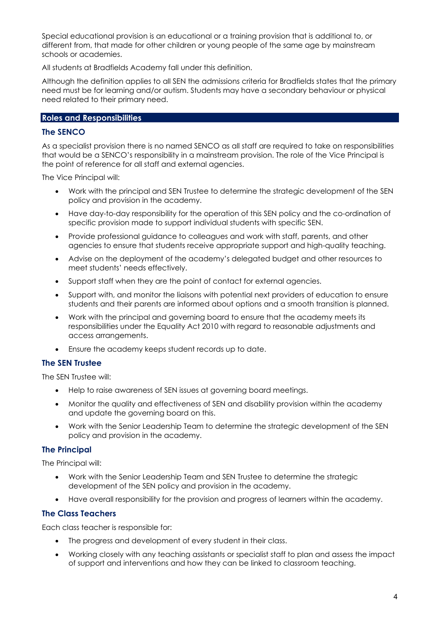Special educational provision is an educational or a training provision that is additional to, or different from, that made for other children or young people of the same age by mainstream schools or academies.

All students at Bradfields Academy fall under this definition.

Although the definition applies to all SEN the admissions criteria for Bradfields states that the primary need must be for learning and/or autism. Students may have a secondary behaviour or physical need related to their primary need.

# <span id="page-3-0"></span>**Roles and Responsibilities**

# <span id="page-3-1"></span>**The SENCO**

As a specialist provision there is no named SENCO as all staff are required to take on responsibilities that would be a SENCO's responsibility in a mainstream provision. The role of the Vice Principal is the point of reference for all staff and external agencies.

The Vice Principal will:

- Work with the principal and SEN Trustee to determine the strategic development of the SEN policy and provision in the academy.
- Have day-to-day responsibility for the operation of this SEN policy and the co-ordination of specific provision made to support individual students with specific SEN.
- Provide professional guidance to colleagues and work with staff, parents, and other agencies to ensure that students receive appropriate support and high-quality teaching.
- Advise on the deployment of the academy's delegated budget and other resources to meet students' needs effectively.
- Support staff when they are the point of contact for external agencies.
- Support with, and monitor the liaisons with potential next providers of education to ensure students and their parents are informed about options and a smooth transition is planned.
- Work with the principal and governing board to ensure that the academy meets its responsibilities under the Equality Act 2010 with regard to reasonable adjustments and access arrangements.
- Ensure the academy keeps student records up to date.

# <span id="page-3-2"></span>**The SEN Trustee**

The SEN Trustee will:

- Help to raise awareness of SEN issues at governing board meetings.
- Monitor the quality and effectiveness of SEN and disability provision within the academy and update the governing board on this.
- Work with the Senior Leadership Team to determine the strategic development of the SEN policy and provision in the academy.

# <span id="page-3-3"></span>**The Principal**

The Principal will:

- Work with the Senior Leadership Team and SEN Trustee to determine the strategic development of the SEN policy and provision in the academy.
- Have overall responsibility for the provision and progress of learners within the academy.

# <span id="page-3-4"></span>**The Class Teachers**

Each class teacher is responsible for:

- The progress and development of every student in their class.
- Working closely with any teaching assistants or specialist staff to plan and assess the impact of support and interventions and how they can be linked to classroom teaching.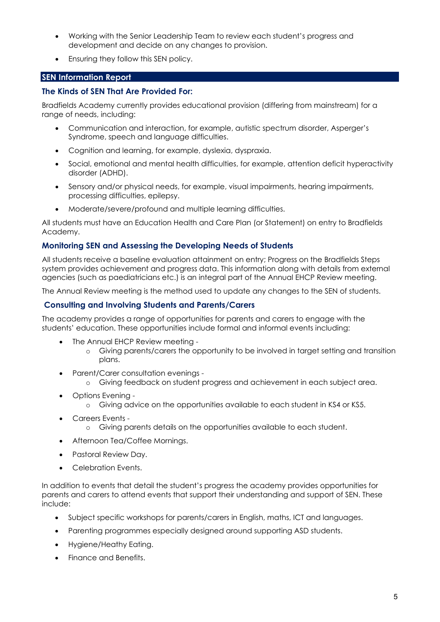- Working with the Senior Leadership Team to review each student's progress and development and decide on any changes to provision.
- Ensuring they follow this SEN policy.

# <span id="page-4-0"></span>**SEN Information Report**

# <span id="page-4-1"></span>**The Kinds of SEN That Are Provided For:**

Bradfields Academy currently provides educational provision (differing from mainstream) for a range of needs, including:

- Communication and interaction, for example, autistic spectrum disorder, Asperger's Syndrome, speech and language difficulties.
- Cognition and learning, for example, dyslexia, dyspraxia.
- Social, emotional and mental health difficulties, for example, attention deficit hyperactivity disorder (ADHD).
- Sensory and/or physical needs, for example, visual impairments, hearing impairments, processing difficulties, epilepsy.
- Moderate/severe/profound and multiple learning difficulties.

All students must have an Education Health and Care Plan (or Statement) on entry to Bradfields Academy.

# <span id="page-4-2"></span>**Monitoring SEN and Assessing the Developing Needs of Students**

All students receive a baseline evaluation attainment on entry; Progress on the Bradfields Steps system provides achievement and progress data. This information along with details from external agencies (such as paediatricians etc.) is an integral part of the Annual EHCP Review meeting.

The Annual Review meeting is the method used to update any changes to the SEN of students.

# <span id="page-4-3"></span>**Consulting and Involving Students and Parents/Carers**

The academy provides a range of opportunities for parents and carers to engage with the students' education. These opportunities include formal and informal events including:

- The Annual EHCP Review meeting
	- o Giving parents/carers the opportunity to be involved in target setting and transition plans.
- Parent/Carer consultation evenings
	- o Giving feedback on student progress and achievement in each subject area.
- Options Evening
	- o Giving advice on the opportunities available to each student in KS4 or KS5.
- Careers Events
	- o Giving parents details on the opportunities available to each student.
- Afternoon Tea/Coffee Mornings.
- Pastoral Review Day.
- Celebration Events.

In addition to events that detail the student's progress the academy provides opportunities for parents and carers to attend events that support their understanding and support of SEN. These include:

- Subject specific workshops for parents/carers in English, maths, ICT and languages.
- Parenting programmes especially designed around supporting ASD students.
- Hygiene/Heathy Eating.
- Finance and Benefits.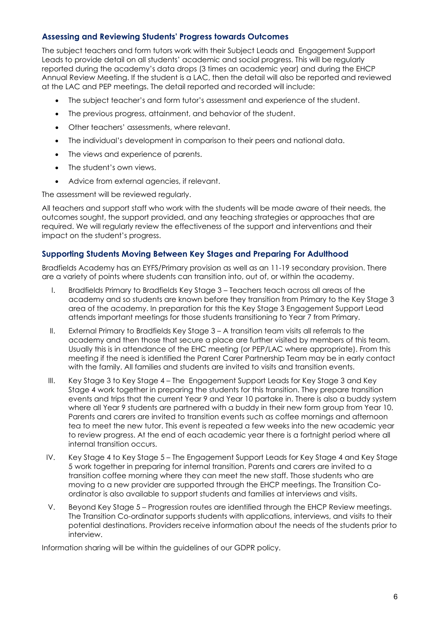# <span id="page-5-0"></span>**Assessing and Reviewing Students' Progress towards Outcomes**

The subject teachers and form tutors work with their Subject Leads and Engagement Support Leads to provide detail on all students' academic and social progress. This will be regularly reported during the academy's data drops (3 times an academic year) and during the EHCP Annual Review Meeting. If the student is a LAC, then the detail will also be reported and reviewed at the LAC and PEP meetings. The detail reported and recorded will include:

- The subject teacher's and form tutor's assessment and experience of the student.
- The previous progress, attainment, and behavior of the student.
- Other teachers' assessments, where relevant.
- The individual's development in comparison to their peers and national data.
- The views and experience of parents.
- The student's own views.
- Advice from external agencies, if relevant.

The assessment will be reviewed regularly.

All teachers and support staff who work with the students will be made aware of their needs, the outcomes sought, the support provided, and any teaching strategies or approaches that are required. We will regularly review the effectiveness of the support and interventions and their impact on the student's progress.

# <span id="page-5-1"></span>**Supporting Students Moving Between Key Stages and Preparing For Adulthood**

Bradfields Academy has an EYFS/Primary provision as well as an 11-19 secondary provision. There are a variety of points where students can transition into, out of, or within the academy.

- I. Bradfields Primary to Bradfields Key Stage 3 Teachers teach across all areas of the academy and so students are known before they transition from Primary to the Key Stage 3 area of the academy. In preparation for this the Key Stage 3 Engagement Support Lead attends important meetings for those students transitioning to Year 7 from Primary.
- II. External Primary to Bradfields Key Stage 3 A transition team visits all referrals to the academy and then those that secure a place are further visited by members of this team. Usually this is in attendance of the EHC meeting (or PEP/LAC where appropriate). From this meeting if the need is identified the Parent Carer Partnership Team may be in early contact with the family. All families and students are invited to visits and transition events.
- III. Key Stage 3 to Key Stage 4 The Engagement Support Leads for Key Stage 3 and Key Stage 4 work together in preparing the students for this transition. They prepare transition events and trips that the current Year 9 and Year 10 partake in. There is also a buddy system where all Year 9 students are partnered with a buddy in their new form group from Year 10. Parents and carers are invited to transition events such as coffee mornings and afternoon tea to meet the new tutor. This event is repeated a few weeks into the new academic year to review progress. At the end of each academic year there is a fortnight period where all internal transition occurs.
- IV. Key Stage 4 to Key Stage 5 The Engagement Support Leads for Key Stage 4 and Key Stage 5 work together in preparing for internal transition. Parents and carers are invited to a transition coffee morning where they can meet the new staff. Those students who are moving to a new provider are supported through the EHCP meetings. The Transition Coordinator is also available to support students and families at interviews and visits.
- V. Beyond Key Stage 5 Progression routes are identified through the EHCP Review meetings. The Transition Co-ordinator supports students with applications, interviews, and visits to their potential destinations. Providers receive information about the needs of the students prior to interview.

Information sharing will be within the guidelines of our GDPR policy.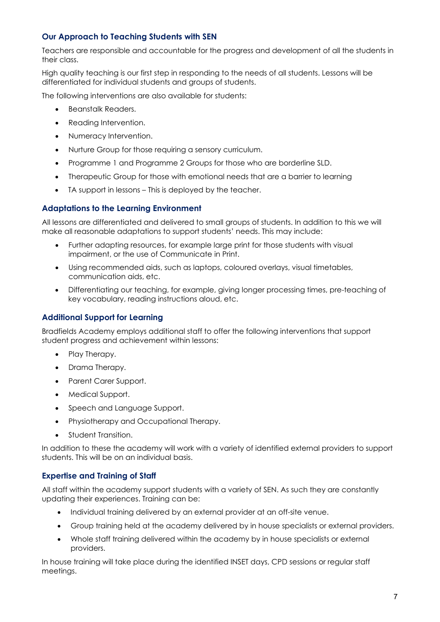# <span id="page-6-0"></span>**Our Approach to Teaching Students with SEN**

Teachers are responsible and accountable for the progress and development of all the students in their class.

High quality teaching is our first step in responding to the needs of all students. Lessons will be differentiated for individual students and groups of students.

The following interventions are also available for students:

- Beanstalk Readers.
- Reading Intervention.
- Numeracy Intervention.
- Nurture Group for those requiring a sensory curriculum.
- Programme 1 and Programme 2 Groups for those who are borderline SLD.
- Therapeutic Group for those with emotional needs that are a barrier to learning
- TA support in lessons This is deployed by the teacher.

#### <span id="page-6-1"></span>**Adaptations to the Learning Environment**

All lessons are differentiated and delivered to small groups of students. In addition to this we will make all reasonable adaptations to support students' needs. This may include:

- Further adapting resources, for example large print for those students with visual impairment, or the use of Communicate in Print.
- Using recommended aids, such as laptops, coloured overlays, visual timetables, communication aids, etc.
- Differentiating our teaching, for example, giving longer processing times, pre-teaching of key vocabulary, reading instructions aloud, etc.

# <span id="page-6-2"></span>**Additional Support for Learning**

Bradfields Academy employs additional staff to offer the following interventions that support student progress and achievement within lessons:

- Play Therapy.
- Drama Therapy.
- Parent Carer Support.
- Medical Support.
- Speech and Language Support.
- Physiotherapy and Occupational Therapy.
- Student Transition.

In addition to these the academy will work with a variety of identified external providers to support students. This will be on an individual basis.

# <span id="page-6-3"></span>**Expertise and Training of Staff**

All staff within the academy support students with a variety of SEN. As such they are constantly updating their experiences. Training can be:

- Individual training delivered by an external provider at an off-site venue.
- Group training held at the academy delivered by in house specialists or external providers.
- Whole staff training delivered within the academy by in house specialists or external providers.

In house training will take place during the identified INSET days, CPD sessions or regular staff meetings.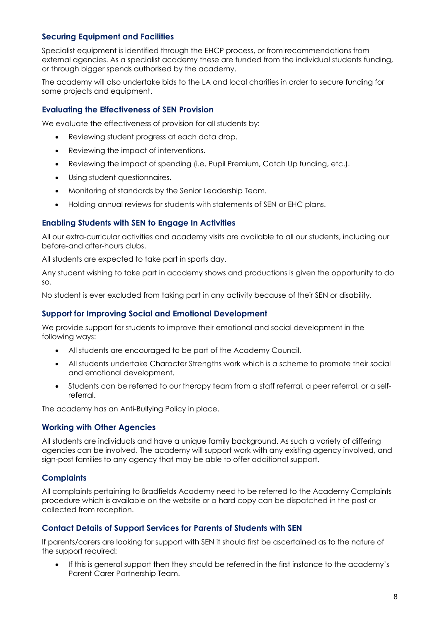# <span id="page-7-0"></span>**Securing Equipment and Facilities**

Specialist equipment is identified through the EHCP process, or from recommendations from external agencies. As a specialist academy these are funded from the individual students funding, or through bigger spends authorised by the academy.

The academy will also undertake bids to the LA and local charities in order to secure funding for some projects and equipment.

#### <span id="page-7-1"></span>**Evaluating the Effectiveness of SEN Provision**

We evaluate the effectiveness of provision for all students by:

- Reviewing student progress at each data drop.
- Reviewing the impact of interventions.
- Reviewing the impact of spending (i.e. Pupil Premium, Catch Up funding, etc.).
- Using student questionnaires.
- Monitoring of standards by the Senior Leadership Team.
- Holding annual reviews for students with statements of SEN or EHC plans.

#### <span id="page-7-2"></span>**Enabling Students with SEN to Engage In Activities**

All our extra-curricular activities and academy visits are available to all our students, including our before-and after-hours clubs.

All students are expected to take part in sports day.

Any student wishing to take part in academy shows and productions is given the opportunity to do so.

No student is ever excluded from taking part in any activity because of their SEN or disability.

#### <span id="page-7-3"></span>**Support for Improving Social and Emotional Development**

We provide support for students to improve their emotional and social development in the following ways:

- All students are encouraged to be part of the Academy Council.
- All students undertake Character Strengths work which is a scheme to promote their social and emotional development.
- Students can be referred to our therapy team from a staff referral, a peer referral, or a selfreferral.

The academy has an Anti-Bullying Policy in place.

#### <span id="page-7-4"></span>**Working with Other Agencies**

All students are individuals and have a unique family background. As such a variety of differing agencies can be involved. The academy will support work with any existing agency involved, and sign-post families to any agency that may be able to offer additional support.

#### <span id="page-7-5"></span>**Complaints**

All complaints pertaining to Bradfields Academy need to be referred to the Academy Complaints procedure which is available on the website or a hard copy can be dispatched in the post or collected from reception.

#### <span id="page-7-6"></span>**Contact Details of Support Services for Parents of Students with SEN**

If parents/carers are looking for support with SEN it should first be ascertained as to the nature of the support required:

• If this is general support then they should be referred in the first instance to the academy's Parent Carer Partnership Team.